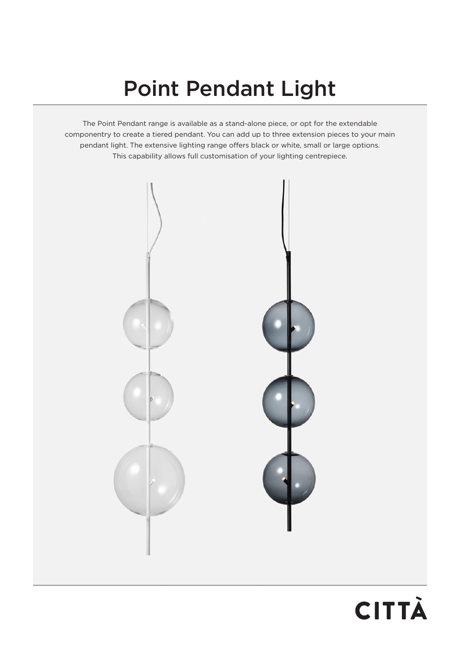# Point Pendant Light

The Point Pendant range is available as a stand-alone piece, or opt for the extendable componentry to create a tiered pendant. You can add up to three extension pieces to your main pendant light. The extensive lighting range offers black or white, small or large options. This capability allows full customisation of your lighting centrepiece.



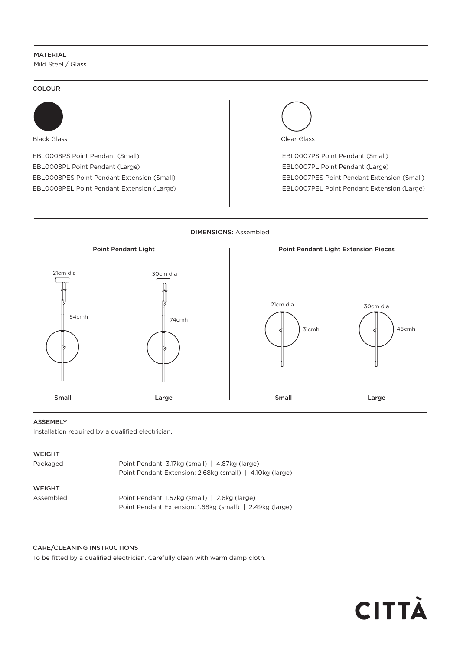# MATERIAL

Mild Steel / Glass

#### COLOUR



Black Glass

EBL0008PS Point Pendant (Small) EBL0008PL Point Pendant (Large) EBL0008PES Point Pendant Extension (Small) EBL0008PEL Point Pendant Extension (Large)



EBL0007PS Point Pendant (Small) EBL0007PL Point Pendant (Large) EBL0007PES Point Pendant Extension (Small) EBL0007PEL Point Pendant Extension (Large)





## ASSEMBLY

Installation required by a qualified electrician.

| WEIGHT |  |
|--------|--|
|        |  |

| Packaged      | Point Pendant: 3.17kg (small)   4.87kg (large)           |  |
|---------------|----------------------------------------------------------|--|
|               | Point Pendant Extension: 2.68kg (small)   4.10kg (large) |  |
| <b>WEIGHT</b> |                                                          |  |
| Assembled     | Point Pendant: 1.57kg (small)   2.6kg (large)            |  |
|               | Point Pendant Extension: 1.68kg (small)   2.49kg (large) |  |

## CARE/CLEANING INSTRUCTIONS

To be fitted by a qualified electrician. Carefully clean with warm damp cloth.